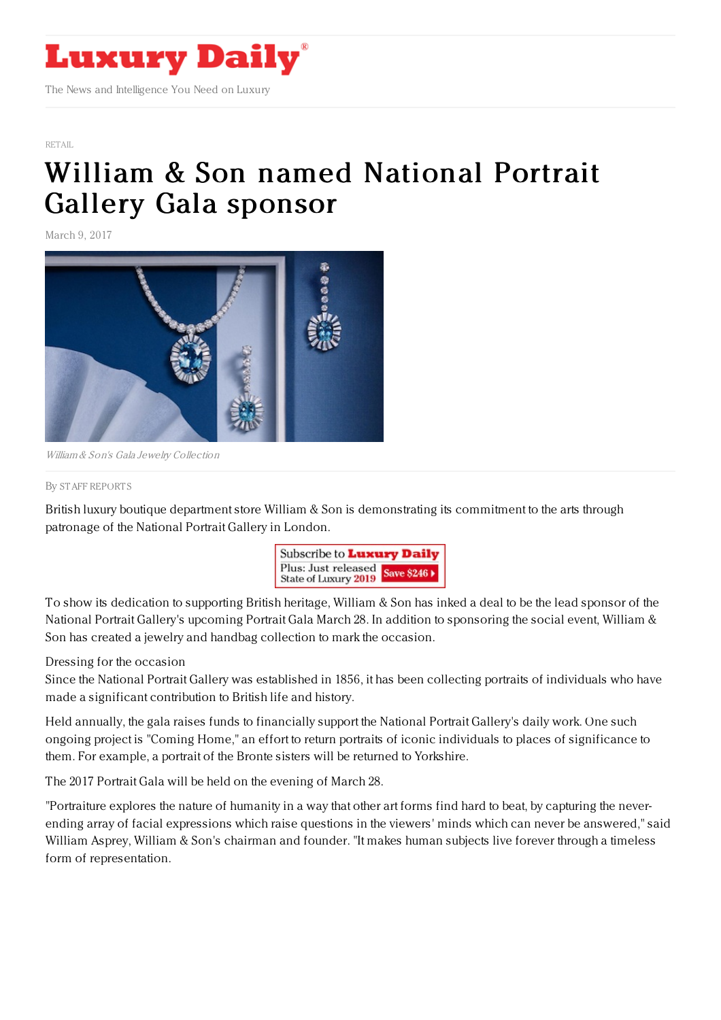

[RETAIL](https://www.luxurydaily.com/category/sectors/retail-industry-sectors/)

## William & Son named [National](https://www.luxurydaily.com/william-son-named-national-portrait-gallery-gala-sponsor/) Portrait Gallery Gala sponsor

March 9, 2017



William & Son's Gala Jewelry Collection

## By STAFF [REPORT](file:///author/staff-reports) S

British luxury boutique department store William & Son is demonstrating its commitment to the arts through patronage of the National Portrait Gallery in London.



To show its dedication to supporting British heritage, William & Son has inked a deal to be the lead sponsor of the National Portrait Gallery's upcoming Portrait Gala March 28. In addition to sponsoring the social event, William & Son has created a jewelry and handbag collection to mark the occasion.

## Dressing for the occasion

Since the National Portrait Gallery was established in 1856, it has been collecting portraits of individuals who have made a significant contribution to British life and history.

Held annually, the gala raises funds to financially support the National Portrait Gallery's daily work. One such ongoing project is "Coming Home," an effort to return portraits of iconic individuals to places of significance to them. For example, a portrait of the Bronte sisters will be returned to Yorkshire.

The 2017 Portrait Gala will be held on the evening of March 28.

"Portraiture explores the nature of humanity in a way that other art forms find hard to beat, by capturing the neverending array of facial expressions which raise questions in the viewers' minds which can never be answered," said William Asprey, William & Son's chairman and founder. "It makes human subjects live forever through a timeless form of representation.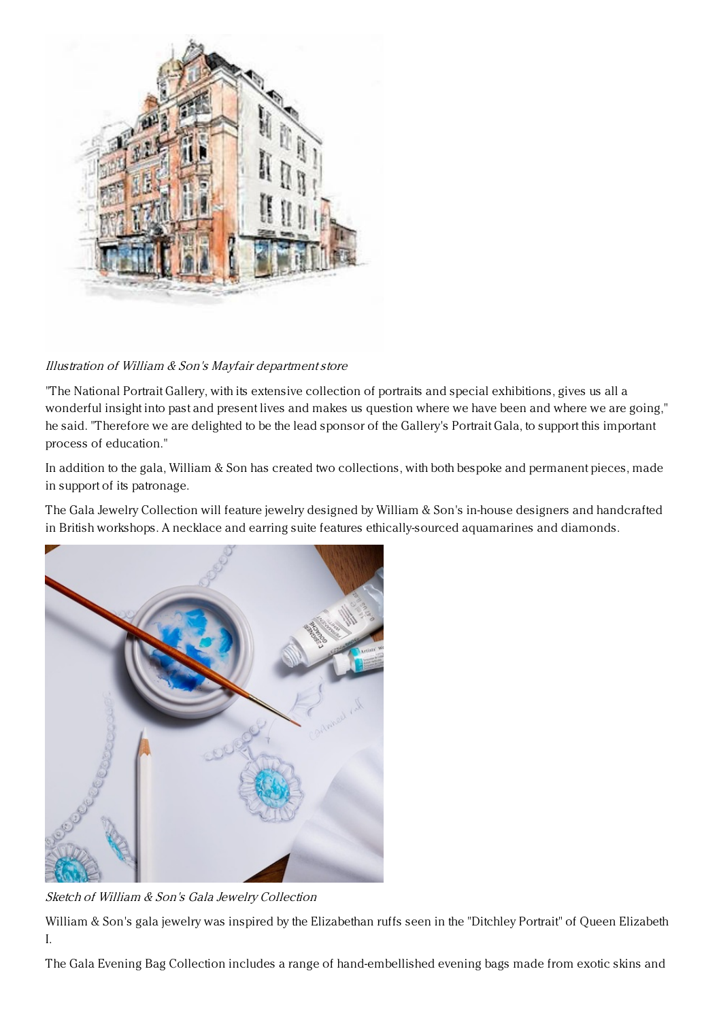

## Illustration of William & Son's Mayfair departmentstore

"The National Portrait Gallery, with its extensive collection of portraits and special exhibitions, gives us all a wonderful insight into past and present lives and makes us question where we have been and where we are going," he said. "Therefore we are delighted to be the lead sponsor of the Gallery's Portrait Gala, to support this important process of education."

In addition to the gala, William & Son has created two collections, with both bespoke and permanent pieces, made in support of its patronage.

The Gala Jewelry Collection will feature jewelry designed by William & Son's in-house designers and handcrafted in British workshops. A necklace and earring suite features ethically-sourced aquamarines and diamonds.



Sketch of William & Son's Gala Jewelry Collection

William & Son's gala jewelry was inspired by the Elizabethan ruffs seen in the "Ditchley Portrait" of Queen Elizabeth I.

The Gala Evening Bag Collection includes a range of hand-embellished evening bags made from exotic skins and